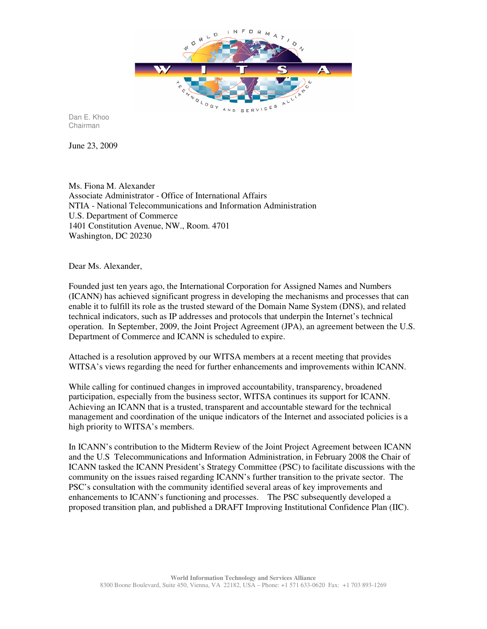

Dan E. Khoo Chairman

June 23, 2009

Ms. Fiona M. Alexander Associate Administrator - Office of International Affairs NTIA - National Telecommunications and Information Administration U.S. Department of Commerce 1401 Constitution Avenue, NW., Room. 4701 Washington, DC 20230

Dear Ms. Alexander,

Founded just ten years ago, the International Corporation for Assigned Names and Numbers (ICANN) has achieved significant progress in developing the mechanisms and processes that can enable it to fulfill its role as the trusted steward of the Domain Name System (DNS), and related technical indicators, such as IP addresses and protocols that underpin the Internet's technical operation. In September, 2009, the Joint Project Agreement (JPA), an agreement between the U.S. Department of Commerce and ICANN is scheduled to expire.

Attached is a resolution approved by our WITSA members at a recent meeting that provides WITSA's views regarding the need for further enhancements and improvements within ICANN.

While calling for continued changes in improved accountability, transparency, broadened participation, especially from the business sector, WITSA continues its support for ICANN. Achieving an ICANN that is a trusted, transparent and accountable steward for the technical management and coordination of the unique indicators of the Internet and associated policies is a high priority to WITSA's members.

In ICANN's contribution to the Midterm Review of the Joint Project Agreement between ICANN and the U.S Telecommunications and Information Administration, in February 2008 the Chair of ICANN tasked the ICANN President's Strategy Committee (PSC) to facilitate discussions with the community on the issues raised regarding ICANN's further transition to the private sector. The PSC's consultation with the community identified several areas of key improvements and enhancements to ICANN's functioning and processes. The PSC subsequently developed a proposed transition plan, and published a DRAFT Improving Institutional Confidence Plan (IIC).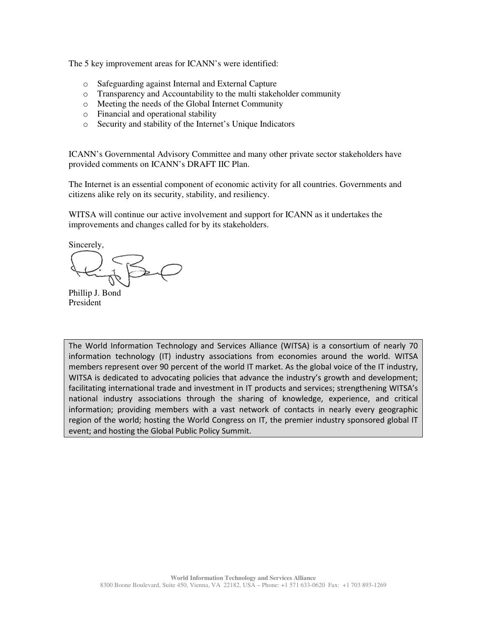The 5 key improvement areas for ICANN's were identified:

- o Safeguarding against Internal and External Capture
- o Transparency and Accountability to the multi stakeholder community
- o Meeting the needs of the Global Internet Community
- o Financial and operational stability
- o Security and stability of the Internet's Unique Indicators

ICANN's Governmental Advisory Committee and many other private sector stakeholders have provided comments on ICANN's DRAFT IIC Plan.

The Internet is an essential component of economic activity for all countries. Governments and citizens alike rely on its security, stability, and resiliency.

WITSA will continue our active involvement and support for ICANN as it undertakes the improvements and changes called for by its stakeholders.

Sincerely,

Phillip J. Bond President

The World Information Technology and Services Alliance (WITSA) is a consortium of nearly 70 information technology (IT) industry associations from economies around the world. WITSA members represent over 90 percent of the world IT market. As the global voice of the IT industry, WITSA is dedicated to advocating policies that advance the industry's growth and development; facilitating international trade and investment in IT products and services; strengthening WITSA's national industry associations through the sharing of knowledge, experience, and critical information; providing members with a vast network of contacts in nearly every geographic region of the world; hosting the World Congress on IT, the premier industry sponsored global IT event; and hosting the Global Public Policy Summit.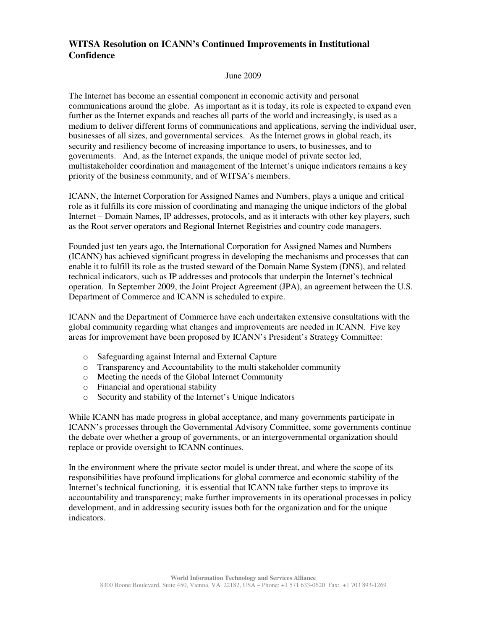## **WITSA Resolution on ICANN's Continued Improvements in Institutional Confidence**

## June 2009

The Internet has become an essential component in economic activity and personal communications around the globe. As important as it is today, its role is expected to expand even further as the Internet expands and reaches all parts of the world and increasingly, is used as a medium to deliver different forms of communications and applications, serving the individual user, businesses of all sizes, and governmental services. As the Internet grows in global reach, its security and resiliency become of increasing importance to users, to businesses, and to governments. And, as the Internet expands, the unique model of private sector led, multistakeholder coordination and management of the Internet's unique indicators remains a key priority of the business community, and of WITSA's members.

ICANN, the Internet Corporation for Assigned Names and Numbers, plays a unique and critical role as it fulfills its core mission of coordinating and managing the unique indictors of the global Internet – Domain Names, IP addresses, protocols, and as it interacts with other key players, such as the Root server operators and Regional Internet Registries and country code managers.

Founded just ten years ago, the International Corporation for Assigned Names and Numbers (ICANN) has achieved significant progress in developing the mechanisms and processes that can enable it to fulfill its role as the trusted steward of the Domain Name System (DNS), and related technical indicators, such as IP addresses and protocols that underpin the Internet's technical operation. In September 2009, the Joint Project Agreement (JPA), an agreement between the U.S. Department of Commerce and ICANN is scheduled to expire.

ICANN and the Department of Commerce have each undertaken extensive consultations with the global community regarding what changes and improvements are needed in ICANN. Five key areas for improvement have been proposed by ICANN's President's Strategy Committee:

- o Safeguarding against Internal and External Capture
- o Transparency and Accountability to the multi stakeholder community
- o Meeting the needs of the Global Internet Community
- o Financial and operational stability
- o Security and stability of the Internet's Unique Indicators

While ICANN has made progress in global acceptance, and many governments participate in ICANN's processes through the Governmental Advisory Committee, some governments continue the debate over whether a group of governments, or an intergovernmental organization should replace or provide oversight to ICANN continues.

In the environment where the private sector model is under threat, and where the scope of its responsibilities have profound implications for global commerce and economic stability of the Internet's technical functioning, it is essential that ICANN take further steps to improve its accountability and transparency; make further improvements in its operational processes in policy development, and in addressing security issues both for the organization and for the unique indicators.